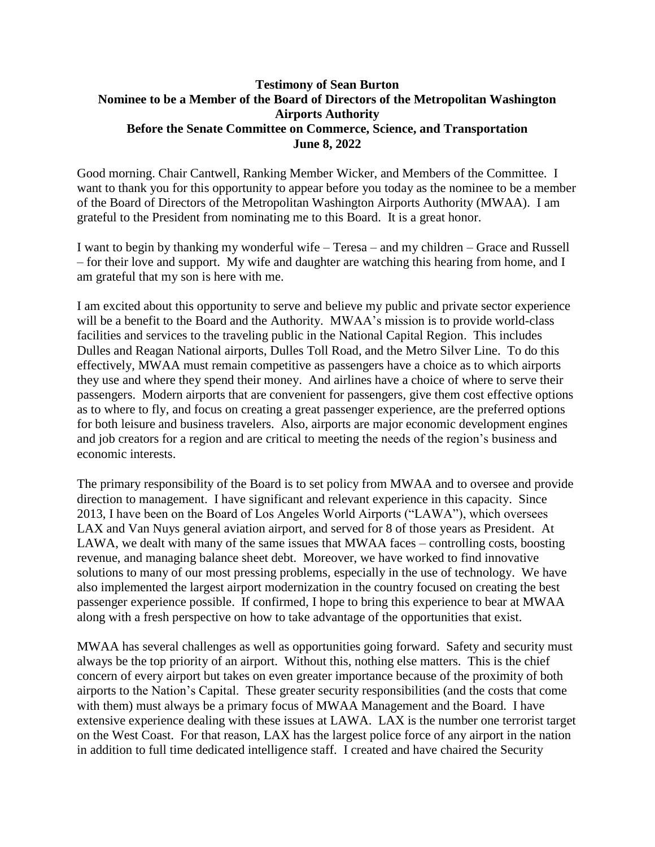## **Testimony of Sean Burton Nominee to be a Member of the Board of Directors of the Metropolitan Washington Airports Authority Before the Senate Committee on Commerce, Science, and Transportation June 8, 2022**

Good morning. Chair Cantwell, Ranking Member Wicker, and Members of the Committee. I want to thank you for this opportunity to appear before you today as the nominee to be a member of the Board of Directors of the Metropolitan Washington Airports Authority (MWAA). I am grateful to the President from nominating me to this Board. It is a great honor.

I want to begin by thanking my wonderful wife – Teresa – and my children – Grace and Russell – for their love and support. My wife and daughter are watching this hearing from home, and I am grateful that my son is here with me.

I am excited about this opportunity to serve and believe my public and private sector experience will be a benefit to the Board and the Authority. MWAA's mission is to provide world-class facilities and services to the traveling public in the National Capital Region. This includes Dulles and Reagan National airports, Dulles Toll Road, and the Metro Silver Line. To do this effectively, MWAA must remain competitive as passengers have a choice as to which airports they use and where they spend their money. And airlines have a choice of where to serve their passengers. Modern airports that are convenient for passengers, give them cost effective options as to where to fly, and focus on creating a great passenger experience, are the preferred options for both leisure and business travelers. Also, airports are major economic development engines and job creators for a region and are critical to meeting the needs of the region's business and economic interests.

The primary responsibility of the Board is to set policy from MWAA and to oversee and provide direction to management. I have significant and relevant experience in this capacity. Since 2013, I have been on the Board of Los Angeles World Airports ("LAWA"), which oversees LAX and Van Nuys general aviation airport, and served for 8 of those years as President. At LAWA, we dealt with many of the same issues that MWAA faces – controlling costs, boosting revenue, and managing balance sheet debt. Moreover, we have worked to find innovative solutions to many of our most pressing problems, especially in the use of technology. We have also implemented the largest airport modernization in the country focused on creating the best passenger experience possible. If confirmed, I hope to bring this experience to bear at MWAA along with a fresh perspective on how to take advantage of the opportunities that exist.

MWAA has several challenges as well as opportunities going forward. Safety and security must always be the top priority of an airport. Without this, nothing else matters. This is the chief concern of every airport but takes on even greater importance because of the proximity of both airports to the Nation's Capital. These greater security responsibilities (and the costs that come with them) must always be a primary focus of MWAA Management and the Board. I have extensive experience dealing with these issues at LAWA. LAX is the number one terrorist target on the West Coast. For that reason, LAX has the largest police force of any airport in the nation in addition to full time dedicated intelligence staff. I created and have chaired the Security